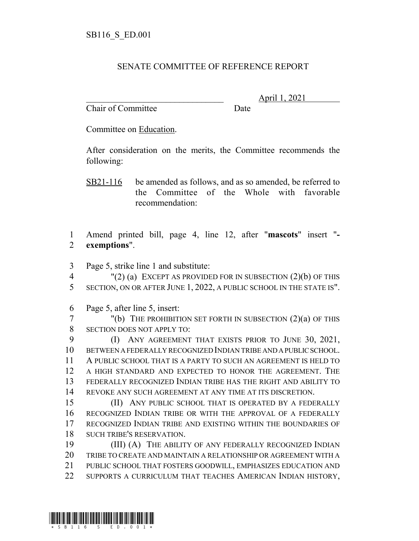## SENATE COMMITTEE OF REFERENCE REPORT

Chair of Committee Date

\_\_\_\_\_\_\_\_\_\_\_\_\_\_\_\_\_\_\_\_\_\_\_\_\_\_\_\_\_\_\_ April 1, 2021

Committee on Education.

After consideration on the merits, the Committee recommends the following:

SB21-116 be amended as follows, and as so amended, be referred to the Committee of the Whole with favorable recommendation:

 Amend printed bill, page 4, line 12, after "**mascots**" insert "**- exemptions**".

Page 5, strike line 1 and substitute:

 "(2) (a) EXCEPT AS PROVIDED FOR IN SUBSECTION (2)(b) OF THIS SECTION, ON OR AFTER JUNE 1, 2022, A PUBLIC SCHOOL IN THE STATE IS".

Page 5, after line 5, insert:

 "(b) THE PROHIBITION SET FORTH IN SUBSECTION (2)(a) OF THIS SECTION DOES NOT APPLY TO:

 (I) ANY AGREEMENT THAT EXISTS PRIOR TO JUNE 30, 2021, BETWEEN A FEDERALLY RECOGNIZED INDIAN TRIBE AND A PUBLIC SCHOOL. A PUBLIC SCHOOL THAT IS A PARTY TO SUCH AN AGREEMENT IS HELD TO A HIGH STANDARD AND EXPECTED TO HONOR THE AGREEMENT. THE FEDERALLY RECOGNIZED INDIAN TRIBE HAS THE RIGHT AND ABILITY TO REVOKE ANY SUCH AGREEMENT AT ANY TIME AT ITS DISCRETION.

15 (II) ANY PUBLIC SCHOOL THAT IS OPERATED BY A FEDERALLY RECOGNIZED INDIAN TRIBE OR WITH THE APPROVAL OF A FEDERALLY RECOGNIZED INDIAN TRIBE AND EXISTING WITHIN THE BOUNDARIES OF SUCH TRIBE'S RESERVATION.

 (III) (A) THE ABILITY OF ANY FEDERALLY RECOGNIZED INDIAN TRIBE TO CREATE AND MAINTAIN A RELATIONSHIP OR AGREEMENT WITH A PUBLIC SCHOOL THAT FOSTERS GOODWILL, EMPHASIZES EDUCATION AND 22 SUPPORTS A CURRICULUM THAT TEACHES AMERICAN INDIAN HISTORY,

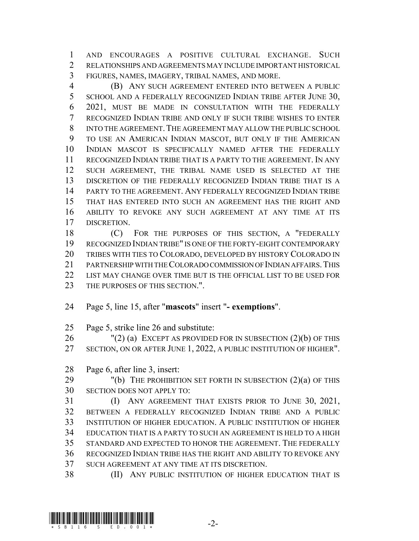AND ENCOURAGES A POSITIVE CULTURAL EXCHANGE. SUCH RELATIONSHIPS AND AGREEMENTS MAY INCLUDE IMPORTANT HISTORICAL FIGURES, NAMES, IMAGERY, TRIBAL NAMES, AND MORE.

 (B) ANY SUCH AGREEMENT ENTERED INTO BETWEEN A PUBLIC 5 SCHOOL AND A FEDERALLY RECOGNIZED INDIAN TRIBE AFTER JUNE 30, 2021, MUST BE MADE IN CONSULTATION WITH THE FEDERALLY RECOGNIZED INDIAN TRIBE AND ONLY IF SUCH TRIBE WISHES TO ENTER INTO THE AGREEMENT.THE AGREEMENT MAY ALLOW THE PUBLIC SCHOOL TO USE AN AMERICAN INDIAN MASCOT, BUT ONLY IF THE AMERICAN INDIAN MASCOT IS SPECIFICALLY NAMED AFTER THE FEDERALLY RECOGNIZED INDIAN TRIBE THAT IS A PARTY TO THE AGREEMENT. IN ANY SUCH AGREEMENT, THE TRIBAL NAME USED IS SELECTED AT THE 13 DISCRETION OF THE FEDERALLY RECOGNIZED INDIAN TRIBE THAT IS A PARTY TO THE AGREEMENT. ANY FEDERALLY RECOGNIZED INDIAN TRIBE THAT HAS ENTERED INTO SUCH AN AGREEMENT HAS THE RIGHT AND ABILITY TO REVOKE ANY SUCH AGREEMENT AT ANY TIME AT ITS DISCRETION.

 (C) FOR THE PURPOSES OF THIS SECTION, A "FEDERALLY RECOGNIZED INDIAN TRIBE" IS ONE OF THE FORTY-EIGHT CONTEMPORARY TRIBES WITH TIES TO COLORADO, DEVELOPED BY HISTORY COLORADO IN PARTNERSHIP WITH THE COLORADO COMMISSION OF INDIAN AFFAIRS.THIS LIST MAY CHANGE OVER TIME BUT IS THE OFFICIAL LIST TO BE USED FOR 23 THE PURPOSES OF THIS SECTION.".

- Page 5, line 15, after "**mascots**" insert " **exemptions**".
- Page 5, strike line 26 and substitute:

 "(2) (a) EXCEPT AS PROVIDED FOR IN SUBSECTION (2)(b) OF THIS SECTION, ON OR AFTER JUNE 1, 2022, A PUBLIC INSTITUTION OF HIGHER".

Page 6, after line 3, insert:

29 "(b) THE PROHIBITION SET FORTH IN SUBSECTION (2)(a) OF THIS SECTION DOES NOT APPLY TO:

 (I) ANY AGREEMENT THAT EXISTS PRIOR TO JUNE 30, 2021, BETWEEN A FEDERALLY RECOGNIZED INDIAN TRIBE AND A PUBLIC INSTITUTION OF HIGHER EDUCATION. A PUBLIC INSTITUTION OF HIGHER EDUCATION THAT IS A PARTY TO SUCH AN AGREEMENT IS HELD TO A HIGH STANDARD AND EXPECTED TO HONOR THE AGREEMENT. THE FEDERALLY RECOGNIZED INDIAN TRIBE HAS THE RIGHT AND ABILITY TO REVOKE ANY SUCH AGREEMENT AT ANY TIME AT ITS DISCRETION.

(II) ANY PUBLIC INSTITUTION OF HIGHER EDUCATION THAT IS